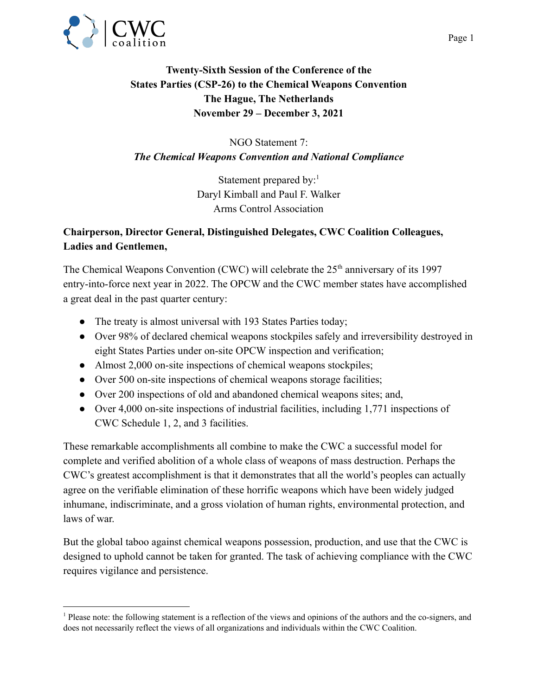

## **Twenty-Sixth Session of the Conference of the States Parties (CSP-26) to the Chemical Weapons Convention The Hague, The Netherlands November 29 – December 3, 2021**

NGO Statement 7: *The Chemical Weapons Convention and National Compliance*

> Statement prepared by: $<sup>1</sup>$ </sup> Daryl Kimball and Paul F. Walker Arms Control Association

## **Chairperson, Director General, Distinguished Delegates, CWC Coalition Colleagues, Ladies and Gentlemen,**

The Chemical Weapons Convention (CWC) will celebrate the  $25<sup>th</sup>$  anniversary of its 1997 entry-into-force next year in 2022. The OPCW and the CWC member states have accomplished a great deal in the past quarter century:

- The treaty is almost universal with 193 States Parties today;
- Over 98% of declared chemical weapons stockpiles safely and irreversibility destroyed in eight States Parties under on-site OPCW inspection and verification;
- Almost 2,000 on-site inspections of chemical weapons stockpiles;
- Over 500 on-site inspections of chemical weapons storage facilities;
- Over 200 inspections of old and abandoned chemical weapons sites; and,
- Over 4,000 on-site inspections of industrial facilities, including 1,771 inspections of CWC Schedule 1, 2, and 3 facilities.

These remarkable accomplishments all combine to make the CWC a successful model for complete and verified abolition of a whole class of weapons of mass destruction. Perhaps the CWC's greatest accomplishment is that it demonstrates that all the world's peoples can actually agree on the verifiable elimination of these horrific weapons which have been widely judged inhumane, indiscriminate, and a gross violation of human rights, environmental protection, and laws of war.

But the global taboo against chemical weapons possession, production, and use that the CWC is designed to uphold cannot be taken for granted. The task of achieving compliance with the CWC requires vigilance and persistence.

<sup>1</sup> Please note: the following statement is a reflection of the views and opinions of the authors and the co-signers, and does not necessarily reflect the views of all organizations and individuals within the CWC Coalition.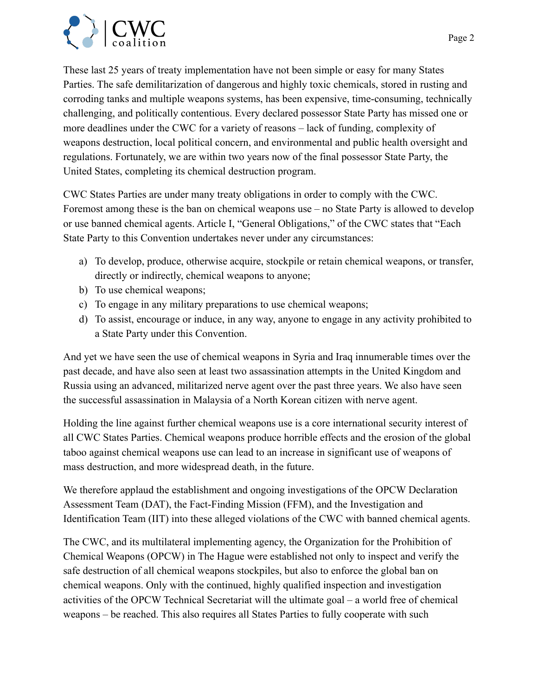

These last 25 years of treaty implementation have not been simple or easy for many States Parties. The safe demilitarization of dangerous and highly toxic chemicals, stored in rusting and corroding tanks and multiple weapons systems, has been expensive, time-consuming, technically challenging, and politically contentious. Every declared possessor State Party has missed one or more deadlines under the CWC for a variety of reasons – lack of funding, complexity of weapons destruction, local political concern, and environmental and public health oversight and regulations. Fortunately, we are within two years now of the final possessor State Party, the United States, completing its chemical destruction program.

CWC States Parties are under many treaty obligations in order to comply with the CWC. Foremost among these is the ban on chemical weapons use – no State Party is allowed to develop or use banned chemical agents. Article I, "General Obligations," of the CWC states that "Each State Party to this Convention undertakes never under any circumstances:

- a) To develop, produce, otherwise acquire, stockpile or retain chemical weapons, or transfer, directly or indirectly, chemical weapons to anyone;
- b) To use chemical weapons;
- c) To engage in any military preparations to use chemical weapons;
- d) To assist, encourage or induce, in any way, anyone to engage in any activity prohibited to a State Party under this Convention.

And yet we have seen the use of chemical weapons in Syria and Iraq innumerable times over the past decade, and have also seen at least two assassination attempts in the United Kingdom and Russia using an advanced, militarized nerve agent over the past three years. We also have seen the successful assassination in Malaysia of a North Korean citizen with nerve agent.

Holding the line against further chemical weapons use is a core international security interest of all CWC States Parties. Chemical weapons produce horrible effects and the erosion of the global taboo against chemical weapons use can lead to an increase in significant use of weapons of mass destruction, and more widespread death, in the future.

We therefore applaud the establishment and ongoing investigations of the OPCW Declaration Assessment Team (DAT), the Fact-Finding Mission (FFM), and the Investigation and Identification Team (IIT) into these alleged violations of the CWC with banned chemical agents.

The CWC, and its multilateral implementing agency, the Organization for the Prohibition of Chemical Weapons (OPCW) in The Hague were established not only to inspect and verify the safe destruction of all chemical weapons stockpiles, but also to enforce the global ban on chemical weapons. Only with the continued, highly qualified inspection and investigation activities of the OPCW Technical Secretariat will the ultimate goal – a world free of chemical weapons – be reached. This also requires all States Parties to fully cooperate with such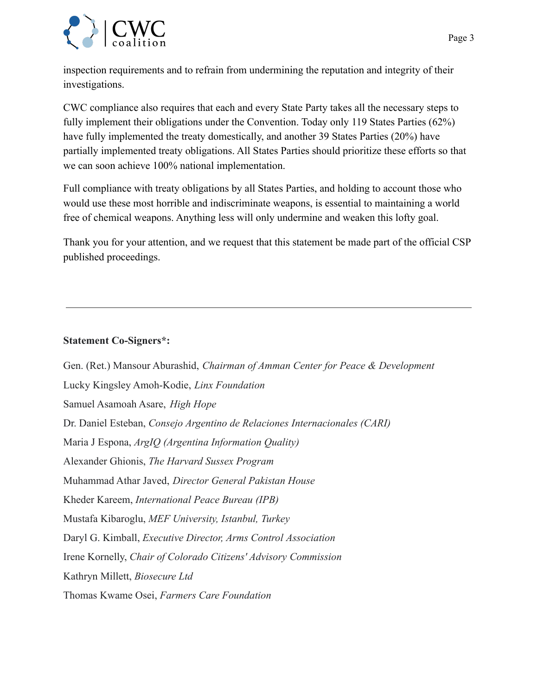

inspection requirements and to refrain from undermining the reputation and integrity of their investigations.

CWC compliance also requires that each and every State Party takes all the necessary steps to fully implement their obligations under the Convention. Today only 119 States Parties (62%) have fully implemented the treaty domestically, and another 39 States Parties (20%) have partially implemented treaty obligations. All States Parties should prioritize these efforts so that we can soon achieve 100% national implementation.

Full compliance with treaty obligations by all States Parties, and holding to account those who would use these most horrible and indiscriminate weapons, is essential to maintaining a world free of chemical weapons. Anything less will only undermine and weaken this lofty goal.

Thank you for your attention, and we request that this statement be made part of the official CSP published proceedings.

## **Statement Co-Signers\*:**

Gen. (Ret.) Mansour Aburashid, *Chairman of Amman Center for Peace & Development* Lucky Kingsley Amoh-Kodie, *Linx Foundation* Samuel Asamoah Asare, *High Hope* Dr. Daniel Esteban, *Consejo Argentino de Relaciones Internacionales (CARI)* Maria J Espona, *ArgIQ (Argentina Information Quality)* Alexander Ghionis, *The Harvard Sussex Program* Muhammad Athar Javed, *Director General Pakistan House* Kheder Kareem, *International Peace Bureau (IPB)* Mustafa Kibaroglu, *MEF University, Istanbul, Turkey* Daryl G. Kimball, *Executive Director, Arms Control Association* Irene Kornelly, *Chair of Colorado Citizens' Advisory Commission* Kathryn Millett, *Biosecure Ltd* Thomas Kwame Osei, *Farmers Care Foundation*